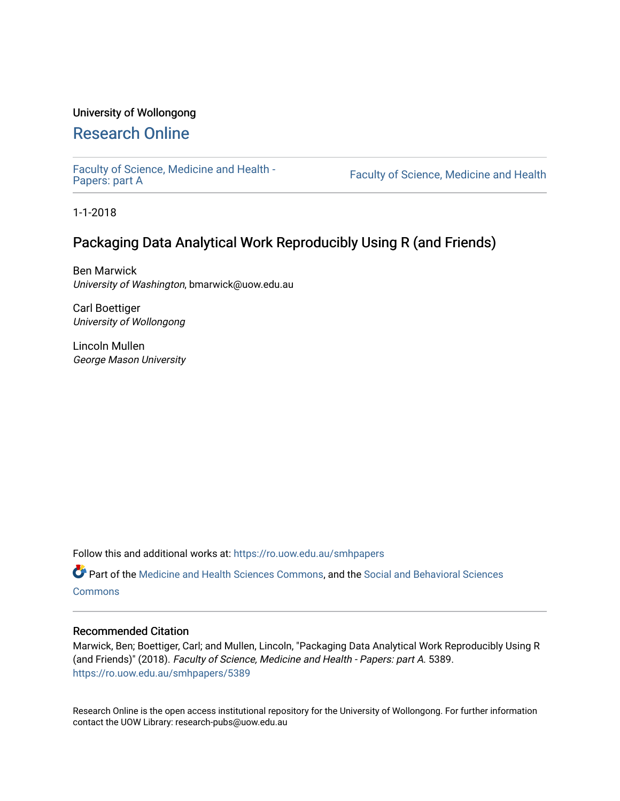### University of Wollongong

### [Research Online](https://ro.uow.edu.au/)

[Faculty of Science, Medicine and Health -](https://ro.uow.edu.au/smhpapers) Papers: part A

Faculty of Science, Medicine and Health

1-1-2018

### Packaging Data Analytical Work Reproducibly Using R (and Friends)

Ben Marwick University of Washington, bmarwick@uow.edu.au

Carl Boettiger University of Wollongong

Lincoln Mullen George Mason University

Follow this and additional works at: [https://ro.uow.edu.au/smhpapers](https://ro.uow.edu.au/smhpapers?utm_source=ro.uow.edu.au%2Fsmhpapers%2F5389&utm_medium=PDF&utm_campaign=PDFCoverPages) 

Part of the [Medicine and Health Sciences Commons,](http://network.bepress.com/hgg/discipline/648?utm_source=ro.uow.edu.au%2Fsmhpapers%2F5389&utm_medium=PDF&utm_campaign=PDFCoverPages) and the [Social and Behavioral Sciences](http://network.bepress.com/hgg/discipline/316?utm_source=ro.uow.edu.au%2Fsmhpapers%2F5389&utm_medium=PDF&utm_campaign=PDFCoverPages) **[Commons](http://network.bepress.com/hgg/discipline/316?utm_source=ro.uow.edu.au%2Fsmhpapers%2F5389&utm_medium=PDF&utm_campaign=PDFCoverPages)** 

#### Recommended Citation

Marwick, Ben; Boettiger, Carl; and Mullen, Lincoln, "Packaging Data Analytical Work Reproducibly Using R (and Friends)" (2018). Faculty of Science, Medicine and Health - Papers: part A. 5389. [https://ro.uow.edu.au/smhpapers/5389](https://ro.uow.edu.au/smhpapers/5389?utm_source=ro.uow.edu.au%2Fsmhpapers%2F5389&utm_medium=PDF&utm_campaign=PDFCoverPages)

Research Online is the open access institutional repository for the University of Wollongong. For further information contact the UOW Library: research-pubs@uow.edu.au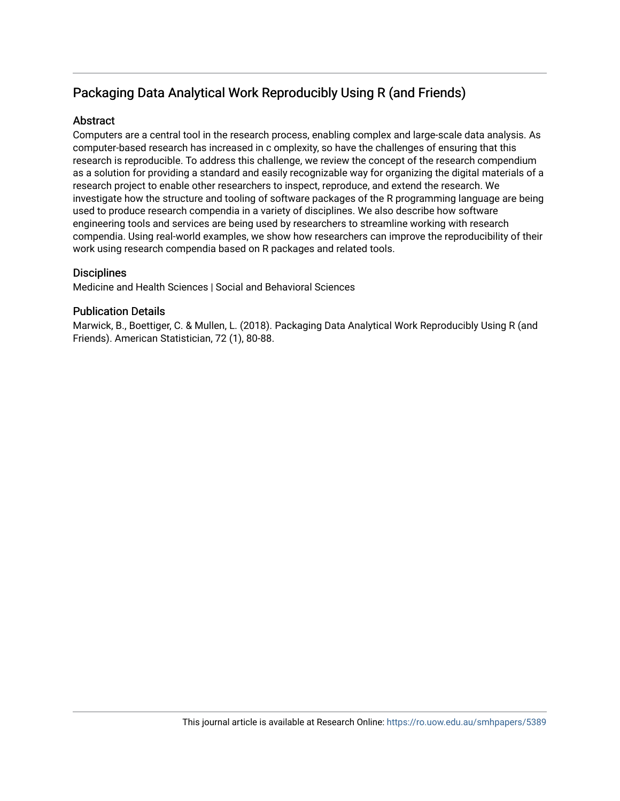## Packaging Data Analytical Work Reproducibly Using R (and Friends)

### **Abstract**

Computers are a central tool in the research process, enabling complex and large-scale data analysis. As computer-based research has increased in c omplexity, so have the challenges of ensuring that this research is reproducible. To address this challenge, we review the concept of the research compendium as a solution for providing a standard and easily recognizable way for organizing the digital materials of a research project to enable other researchers to inspect, reproduce, and extend the research. We investigate how the structure and tooling of software packages of the R programming language are being used to produce research compendia in a variety of disciplines. We also describe how software engineering tools and services are being used by researchers to streamline working with research compendia. Using real-world examples, we show how researchers can improve the reproducibility of their work using research compendia based on R packages and related tools.

### **Disciplines**

Medicine and Health Sciences | Social and Behavioral Sciences

### Publication Details

Marwick, B., Boettiger, C. & Mullen, L. (2018). Packaging Data Analytical Work Reproducibly Using R (and Friends). American Statistician, 72 (1), 80-88.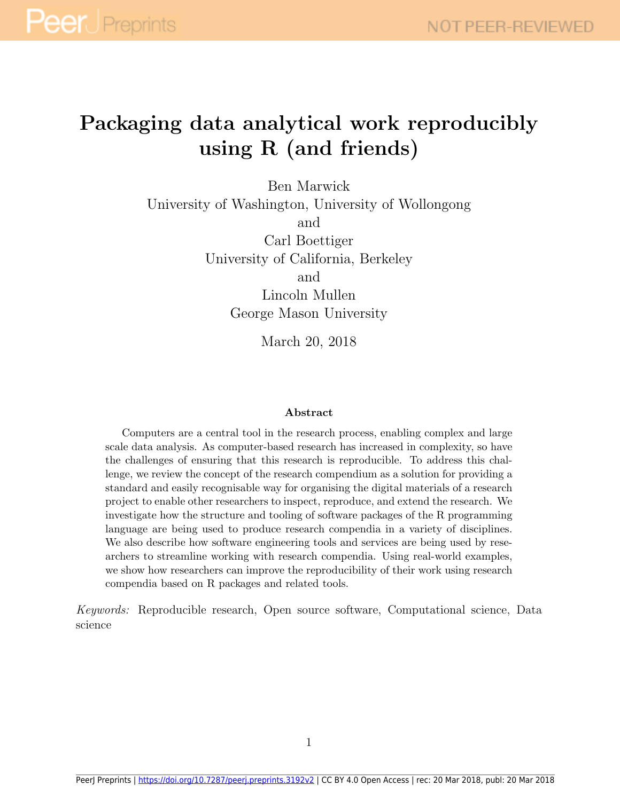## Packaging data analytical work reproducibly using R (and friends)

Ben Marwick University of Washington, University of Wollongong and Carl Boettiger University of California, Berkeley

and

Lincoln Mullen George Mason University

March 20, 2018

#### Abstract

Computers are a central tool in the research process, enabling complex and large scale data analysis. As computer-based research has increased in complexity, so have the challenges of ensuring that this research is reproducible. To address this challenge, we review the concept of the research compendium as a solution for providing a standard and easily recognisable way for organising the digital materials of a research project to enable other researchers to inspect, reproduce, and extend the research. We investigate how the structure and tooling of software packages of the R programming language are being used to produce research compendia in a variety of disciplines. We also describe how software engineering tools and services are being used by researchers to streamline working with research compendia. Using real-world examples, we show how researchers can improve the reproducibility of their work using research compendia based on R packages and related tools.

Keywords: Reproducible research, Open source software, Computational science, Data science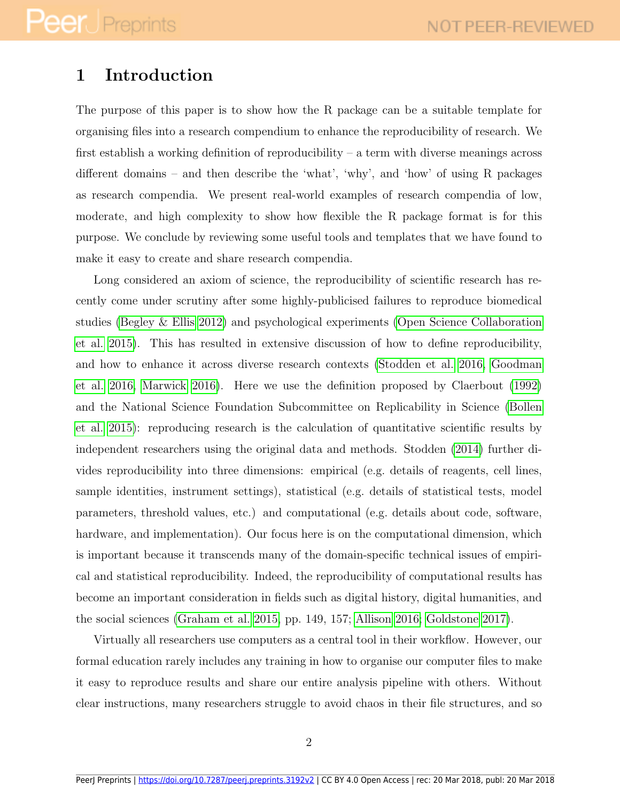## 1 Introduction

The purpose of this paper is to show how the R package can be a suitable template for organising files into a research compendium to enhance the reproducibility of research. We first establish a working definition of reproducibility – a term with diverse meanings across different domains – and then describe the 'what', 'why', and 'how' of using R packages as research compendia. We present real-world examples of research compendia of low, moderate, and high complexity to show how flexible the R package format is for this purpose. We conclude by reviewing some useful tools and templates that we have found to make it easy to create and share research compendia.

Long considered an axiom of science, the reproducibility of scientific research has recently come under scrutiny after some highly-publicised failures to reproduce biomedical studies [\(Begley & Ellis 2012\)](#page-22-0) and psychological experiments [\(Open Science Collaboration](#page-27-0) [et al. 2015\)](#page-27-0). This has resulted in extensive discussion of how to define reproducibility, and how to enhance it across diverse research contexts [\(Stodden et al. 2016,](#page-28-0) [Goodman](#page-24-0) [et al. 2016,](#page-24-0) [Marwick 2016\)](#page-25-0). Here we use the definition proposed by Claerbout [\(1992\)](#page-23-0) and the National Science Foundation Subcommittee on Replicability in Science [\(Bollen](#page-22-1) [et al. 2015\)](#page-22-1): reproducing research is the calculation of quantitative scientific results by independent researchers using the original data and methods. Stodden [\(2014\)](#page-28-1) further divides reproducibility into three dimensions: empirical (e.g. details of reagents, cell lines, sample identities, instrument settings), statistical (e.g. details of statistical tests, model parameters, threshold values, etc.) and computational (e.g. details about code, software, hardware, and implementation). Our focus here is on the computational dimension, which is important because it transcends many of the domain-specific technical issues of empirical and statistical reproducibility. Indeed, the reproducibility of computational results has become an important consideration in fields such as digital history, digital humanities, and the social sciences [\(Graham et al. 2015,](#page-24-1) pp. 149, 157; [Allison 2016;](#page-21-0) [Goldstone 2017\)](#page-24-2).

Virtually all researchers use computers as a central tool in their workflow. However, our formal education rarely includes any training in how to organise our computer files to make it easy to reproduce results and share our entire analysis pipeline with others. Without clear instructions, many researchers struggle to avoid chaos in their file structures, and so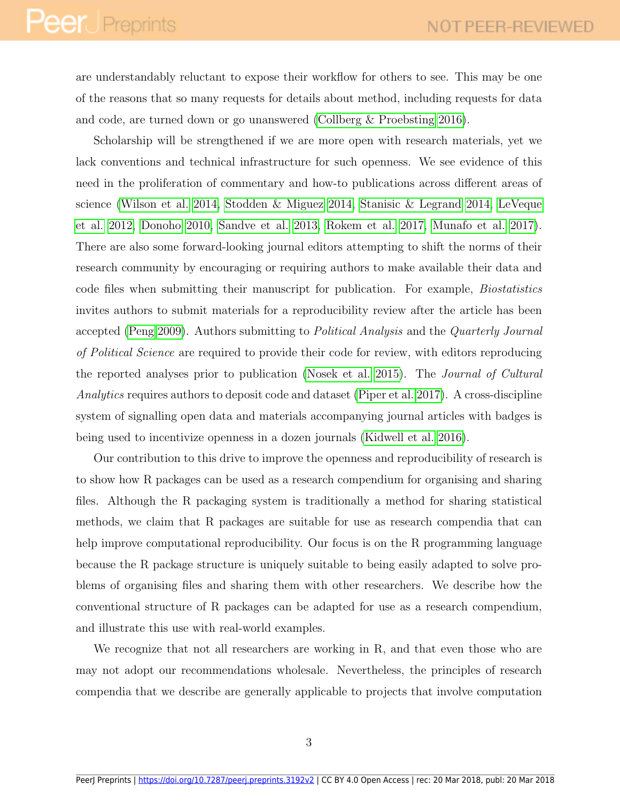# **Peer** Preprints

are understandably reluctant to expose their workflow for others to see. This may be one of the reasons that so many requests for details about method, including requests for data and code, are turned down or go unanswered [\(Collberg & Proebsting 2016\)](#page-23-1).

Scholarship will be strengthened if we are more open with research materials, yet we lack conventions and technical infrastructure for such openness. We see evidence of this need in the proliferation of commentary and how-to publications across different areas of science [\(Wilson et al. 2014,](#page-30-0) [Stodden & Miguez 2014,](#page-29-0) [Stanisic & Legrand 2014,](#page-28-2) [LeVeque](#page-25-1) [et al. 2012,](#page-25-1) [Donoho 2010,](#page-23-2) [Sandve et al. 2013,](#page-28-3) [Rokem et al. 2017,](#page-28-4) [Munafo et al. 2017\)](#page-26-0). There are also some forward-looking journal editors attempting to shift the norms of their research community by encouraging or requiring authors to make available their data and code files when submitting their manuscript for publication. For example, Biostatistics invites authors to submit materials for a reproducibility review after the article has been accepted [\(Peng 2009\)](#page-27-1). Authors submitting to Political Analysis and the Quarterly Journal of Political Science are required to provide their code for review, with editors reproducing the reported analyses prior to publication [\(Nosek et al. 2015\)](#page-27-2). The Journal of Cultural Analytics requires authors to deposit code and dataset [\(Piper et al. 2017\)](#page-27-3). A cross-discipline system of signalling open data and materials accompanying journal articles with badges is being used to incentivize openness in a dozen journals [\(Kidwell et al. 2016\)](#page-25-2).

Our contribution to this drive to improve the openness and reproducibility of research is to show how R packages can be used as a research compendium for organising and sharing files. Although the R packaging system is traditionally a method for sharing statistical methods, we claim that R packages are suitable for use as research compendia that can help improve computational reproducibility. Our focus is on the R programming language because the R package structure is uniquely suitable to being easily adapted to solve problems of organising files and sharing them with other researchers. We describe how the conventional structure of R packages can be adapted for use as a research compendium, and illustrate this use with real-world examples.

We recognize that not all researchers are working in R, and that even those who are may not adopt our recommendations wholesale. Nevertheless, the principles of research compendia that we describe are generally applicable to projects that involve computation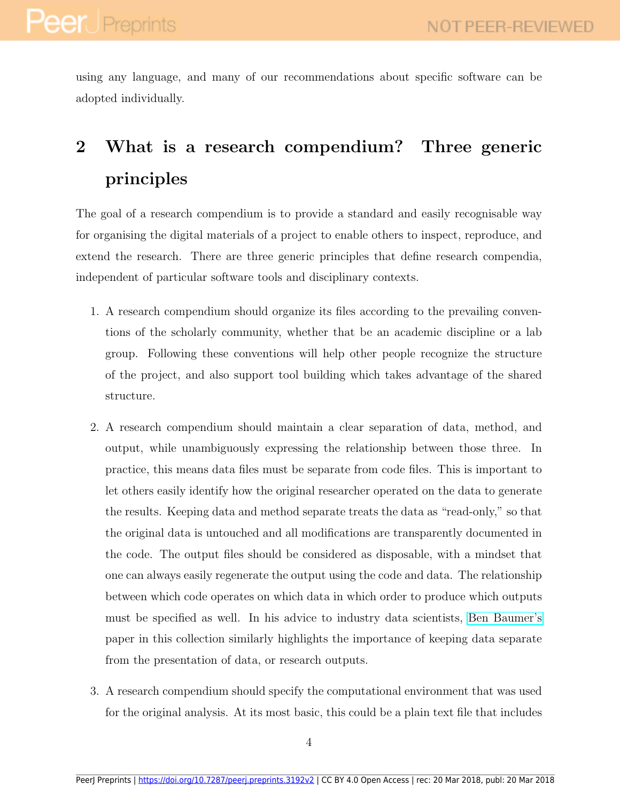using any language, and many of our recommendations about specific software can be adopted individually.

## 2 What is a research compendium? Three generic principles

The goal of a research compendium is to provide a standard and easily recognisable way for organising the digital materials of a project to enable others to inspect, reproduce, and extend the research. There are three generic principles that define research compendia, independent of particular software tools and disciplinary contexts.

- 1. A research compendium should organize its files according to the prevailing conventions of the scholarly community, whether that be an academic discipline or a lab group. Following these conventions will help other people recognize the structure of the project, and also support tool building which takes advantage of the shared structure.
- 2. A research compendium should maintain a clear separation of data, method, and output, while unambiguously expressing the relationship between those three. In practice, this means data files must be separate from code files. This is important to let others easily identify how the original researcher operated on the data to generate the results. Keeping data and method separate treats the data as "read-only," so that the original data is untouched and all modifications are transparently documented in the code. The output files should be considered as disposable, with a mindset that one can always easily regenerate the output using the code and data. The relationship between which code operates on which data in which order to produce which outputs must be specified as well. In his advice to industry data scientists, [Ben Baumer's](https://github.com/dsscollection/baseball/) paper in this collection similarly highlights the importance of keeping data separate from the presentation of data, or research outputs.
- 3. A research compendium should specify the computational environment that was used for the original analysis. At its most basic, this could be a plain text file that includes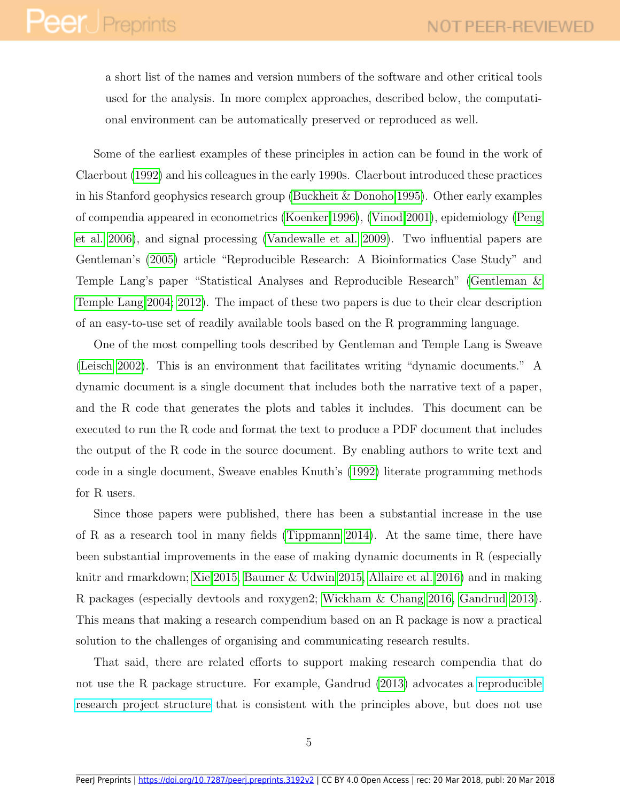a short list of the names and version numbers of the software and other critical tools used for the analysis. In more complex approaches, described below, the computational environment can be automatically preserved or reproduced as well.

Some of the earliest examples of these principles in action can be found in the work of Claerbout [\(1992\)](#page-23-0) and his colleagues in the early 1990s. Claerbout introduced these practices in his Stanford geophysics research group [\(Buckheit & Donoho 1995\)](#page-23-3). Other early examples of compendia appeared in econometrics [\(Koenker 1996\)](#page-25-3), [\(Vinod 2001\)](#page-29-1), epidemiology [\(Peng](#page-27-4) [et al. 2006\)](#page-27-4), and signal processing [\(Vandewalle et al. 2009\)](#page-29-2). Two influential papers are Gentleman's [\(2005\)](#page-24-3) article "Reproducible Research: A Bioinformatics Case Study" and Temple Lang's paper "Statistical Analyses and Reproducible Research" [\(Gentleman &](#page-24-4) [Temple Lang 2004;](#page-24-4) [2012\)](#page-24-5). The impact of these two papers is due to their clear description of an easy-to-use set of readily available tools based on the R programming language.

One of the most compelling tools described by Gentleman and Temple Lang is Sweave [\(Leisch 2002\)](#page-25-4). This is an environment that facilitates writing "dynamic documents." A dynamic document is a single document that includes both the narrative text of a paper, and the R code that generates the plots and tables it includes. This document can be executed to run the R code and format the text to produce a PDF document that includes the output of the R code in the source document. By enabling authors to write text and code in a single document, Sweave enables Knuth's [\(1992\)](#page-25-5) literate programming methods for R users.

Since those papers were published, there has been a substantial increase in the use of R as a research tool in many fields [\(Tippmann 2014\)](#page-29-3). At the same time, there have been substantial improvements in the ease of making dynamic documents in R (especially knitr and rmarkdown; [Xie 2015,](#page-30-1) [Baumer & Udwin 2015,](#page-22-2) [Allaire et al. 2016\)](#page-21-1) and in making R packages (especially devtools and roxygen2; [Wickham & Chang 2016,](#page-29-4) [Gandrud 2013\)](#page-24-6). This means that making a research compendium based on an R package is now a practical solution to the challenges of organising and communicating research results.

That said, there are related efforts to support making research compendia that do not use the R package structure. For example, Gandrud [\(2013\)](#page-24-6) advocates a [reproducible](https://github.com/christophergandrud/Rep-Res-ExampleProject1) [research project structure](https://github.com/christophergandrud/Rep-Res-ExampleProject1) that is consistent with the principles above, but does not use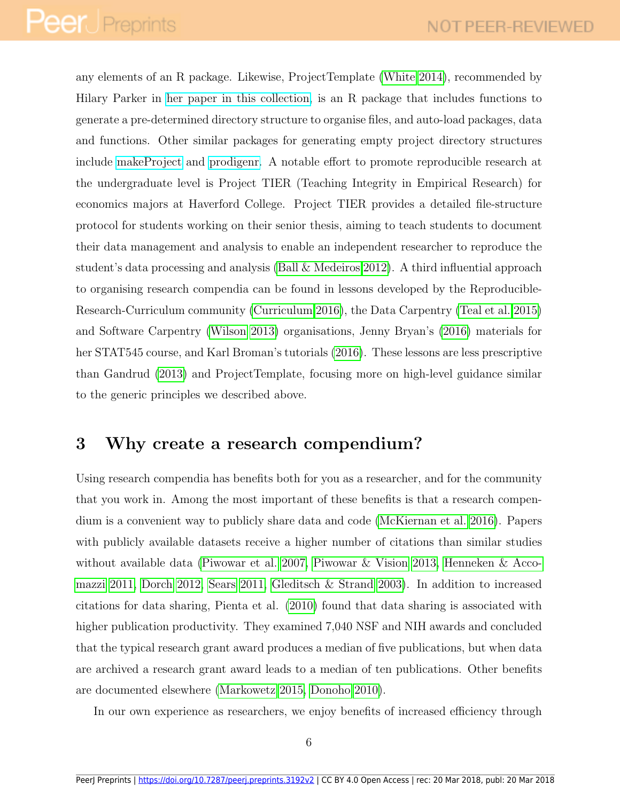any elements of an R package. Likewise, ProjectTemplate [\(White 2014\)](#page-29-5), recommended by Hilary Parker in [her paper in this collection,](https://github.com/dsscollection/analysis-development) is an R package that includes functions to generate a pre-determined directory structure to organise files, and auto-load packages, data and functions. Other similar packages for generating empty project directory structures include [makeProject](https://cran.r-project.org/web/packages/makeProject/) and [prodigenr.](https://github.com/lwjohnst86/prodigenr) A notable effort to promote reproducible research at the undergraduate level is Project TIER (Teaching Integrity in Empirical Research) for economics majors at Haverford College. Project TIER provides a detailed file-structure protocol for students working on their senior thesis, aiming to teach students to document their data management and analysis to enable an independent researcher to reproduce the student's data processing and analysis [\(Ball & Medeiros 2012\)](#page-22-3). A third influential approach to organising research compendia can be found in lessons developed by the Reproducible-Research-Curriculum community [\(Curriculum 2016\)](#page-23-4), the Data Carpentry [\(Teal et al. 2015\)](#page-29-6) and Software Carpentry [\(Wilson 2013\)](#page-29-7) organisations, Jenny Bryan's [\(2016\)](#page-22-4) materials for her STAT545 course, and Karl Broman's tutorials [\(2016\)](#page-22-5). These lessons are less prescriptive than Gandrud [\(2013\)](#page-24-6) and ProjectTemplate, focusing more on high-level guidance similar to the generic principles we described above.

## 3 Why create a research compendium?

Using research compendia has benefits both for you as a researcher, and for the community that you work in. Among the most important of these benefits is that a research compendium is a convenient way to publicly share data and code [\(McKiernan et al. 2016\)](#page-26-1). Papers with publicly available datasets receive a higher number of citations than similar studies without available data [\(Piwowar et al. 2007,](#page-27-5) [Piwowar & Vision 2013,](#page-28-5) [Henneken & Acco](#page-24-7)[mazzi 2011,](#page-24-7) [Dorch 2012,](#page-23-5) [Sears 2011,](#page-28-6) [Gleditsch & Strand 2003\)](#page-24-8). In addition to increased citations for data sharing, Pienta et al. [\(2010\)](#page-27-6) found that data sharing is associated with higher publication productivity. They examined 7,040 NSF and NIH awards and concluded that the typical research grant award produces a median of five publications, but when data are archived a research grant award leads to a median of ten publications. Other benefits are documented elsewhere [\(Markowetz 2015,](#page-25-6) [Donoho 2010\)](#page-23-2).

In our own experience as researchers, we enjoy benefits of increased efficiency through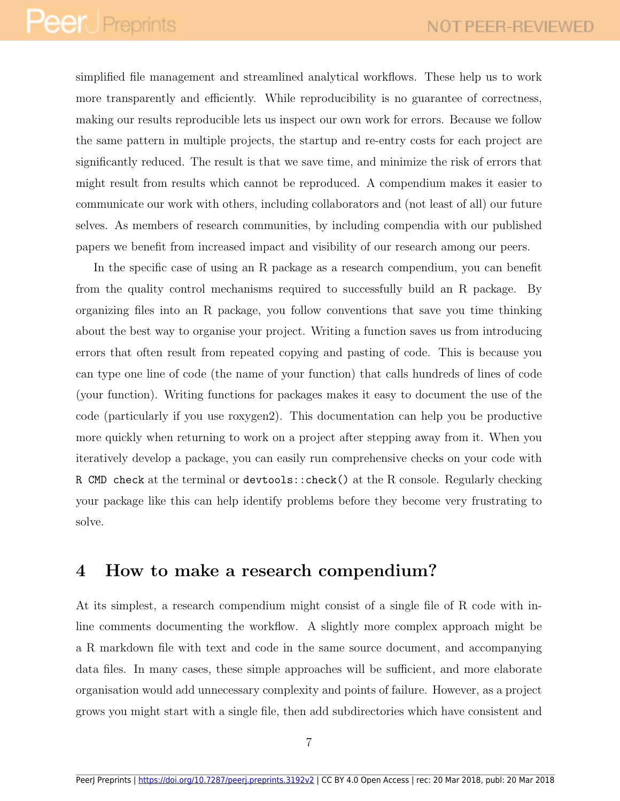simplified file management and streamlined analytical workflows. These help us to work more transparently and efficiently. While reproducibility is no guarantee of correctness, making our results reproducible lets us inspect our own work for errors. Because we follow the same pattern in multiple projects, the startup and re-entry costs for each project are significantly reduced. The result is that we save time, and minimize the risk of errors that might result from results which cannot be reproduced. A compendium makes it easier to communicate our work with others, including collaborators and (not least of all) our future selves. As members of research communities, by including compendia with our published papers we benefit from increased impact and visibility of our research among our peers.

In the specific case of using an R package as a research compendium, you can benefit from the quality control mechanisms required to successfully build an R package. By organizing files into an R package, you follow conventions that save you time thinking about the best way to organise your project. Writing a function saves us from introducing errors that often result from repeated copying and pasting of code. This is because you can type one line of code (the name of your function) that calls hundreds of lines of code (your function). Writing functions for packages makes it easy to document the use of the code (particularly if you use roxygen2). This documentation can help you be productive more quickly when returning to work on a project after stepping away from it. When you iteratively develop a package, you can easily run comprehensive checks on your code with R CMD check at the terminal or devtools::check() at the R console. Regularly checking your package like this can help identify problems before they become very frustrating to solve.

### 4 How to make a research compendium?

At its simplest, a research compendium might consist of a single file of R code with inline comments documenting the workflow. A slightly more complex approach might be a R markdown file with text and code in the same source document, and accompanying data files. In many cases, these simple approaches will be sufficient, and more elaborate organisation would add unnecessary complexity and points of failure. However, as a project grows you might start with a single file, then add subdirectories which have consistent and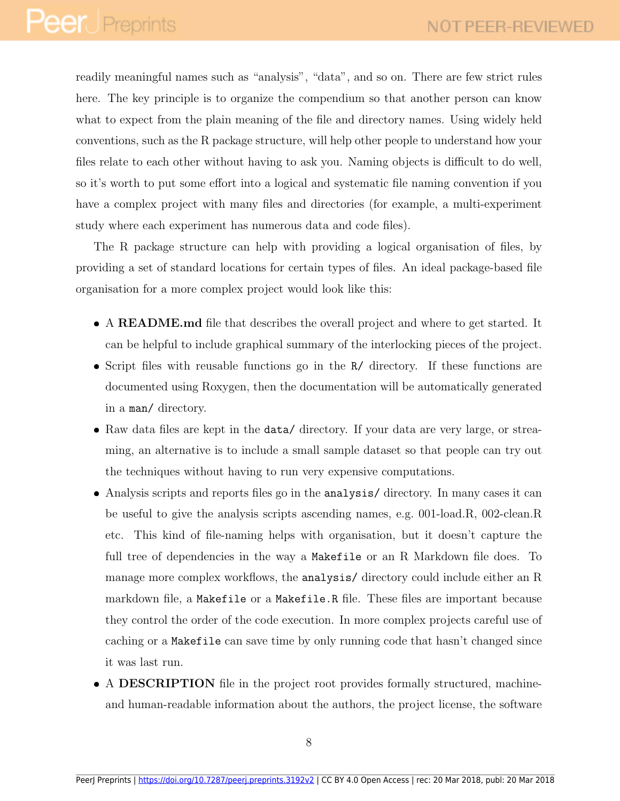readily meaningful names such as "analysis", "data", and so on. There are few strict rules here. The key principle is to organize the compendium so that another person can know what to expect from the plain meaning of the file and directory names. Using widely held conventions, such as the R package structure, will help other people to understand how your files relate to each other without having to ask you. Naming objects is difficult to do well, so it's worth to put some effort into a logical and systematic file naming convention if you have a complex project with many files and directories (for example, a multi-experiment study where each experiment has numerous data and code files).

The R package structure can help with providing a logical organisation of files, by providing a set of standard locations for certain types of files. An ideal package-based file organisation for a more complex project would look like this:

- A README.md file that describes the overall project and where to get started. It can be helpful to include graphical summary of the interlocking pieces of the project.
- Script files with reusable functions go in the R/ directory. If these functions are documented using Roxygen, then the documentation will be automatically generated in a man/ directory.
- Raw data files are kept in the data/ directory. If your data are very large, or streaming, an alternative is to include a small sample dataset so that people can try out the techniques without having to run very expensive computations.
- Analysis scripts and reports files go in the analysis/ directory. In many cases it can be useful to give the analysis scripts ascending names, e.g. 001-load.R, 002-clean.R etc. This kind of file-naming helps with organisation, but it doesn't capture the full tree of dependencies in the way a Makefile or an R Markdown file does. To manage more complex workflows, the analysis/ directory could include either an R markdown file, a Makefile or a Makefile.R file. These files are important because they control the order of the code execution. In more complex projects careful use of caching or a Makefile can save time by only running code that hasn't changed since it was last run.
- A DESCRIPTION file in the project root provides formally structured, machineand human-readable information about the authors, the project license, the software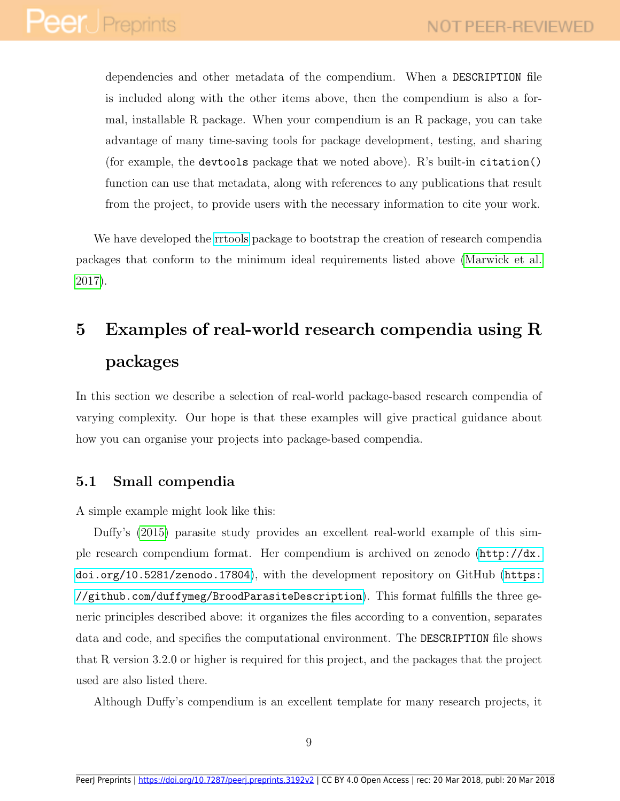dependencies and other metadata of the compendium. When a DESCRIPTION file is included along with the other items above, then the compendium is also a formal, installable R package. When your compendium is an R package, you can take advantage of many time-saving tools for package development, testing, and sharing (for example, the devtools package that we noted above).  $R$ 's built-in citation() function can use that metadata, along with references to any publications that result from the project, to provide users with the necessary information to cite your work.

We have developed the [rrtools](https://github.com/benmarwick/rrtools) package to bootstrap the creation of research compendia packages that conform to the minimum ideal requirements listed above [\(Marwick et al.](#page-26-2) [2017\)](#page-26-2).

## 5 Examples of real-world research compendia using R packages

In this section we describe a selection of real-world package-based research compendia of varying complexity. Our hope is that these examples will give practical guidance about how you can organise your projects into package-based compendia.

### 5.1 Small compendia

A simple example might look like this:

Duffy's [\(2015\)](#page-23-6) parasite study provides an excellent real-world example of this simple research compendium format. Her compendium is archived on zenodo ([http://dx.](http://dx.doi.org/10.5281/zenodo.17804) [doi.org/10.5281/zenodo.17804](http://dx.doi.org/10.5281/zenodo.17804)), with the development repository on GitHub ([https:](https://github.com/duffymeg/BroodParasiteDescription) [//github.com/duffymeg/BroodParasiteDescription](https://github.com/duffymeg/BroodParasiteDescription)). This format fulfills the three generic principles described above: it organizes the files according to a convention, separates data and code, and specifies the computational environment. The DESCRIPTION file shows that R version 3.2.0 or higher is required for this project, and the packages that the project used are also listed there.

Although Duffy's compendium is an excellent template for many research projects, it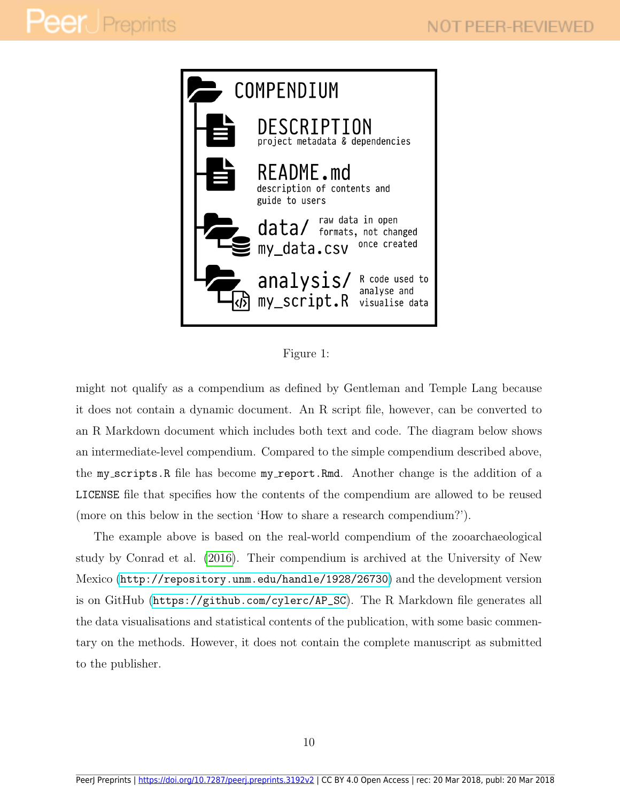

Figure 1:

might not qualify as a compendium as defined by Gentleman and Temple Lang because it does not contain a dynamic document. An R script file, however, can be converted to an R Markdown document which includes both text and code. The diagram below shows an intermediate-level compendium. Compared to the simple compendium described above, the my scripts.R file has become my report.Rmd. Another change is the addition of a LICENSE file that specifies how the contents of the compendium are allowed to be reused (more on this below in the section 'How to share a research compendium?').

The example above is based on the real-world compendium of the zooarchaeological study by Conrad et al. [\(2016\)](#page-23-7). Their compendium is archived at the University of New Mexico (<http://repository.unm.edu/handle/1928/26730>) and the development version is on GitHub ([https://github.com/cylerc/AP\\_SC](https://github.com/cylerc/AP_SC)). The R Markdown file generates all the data visualisations and statistical contents of the publication, with some basic commentary on the methods. However, it does not contain the complete manuscript as submitted to the publisher.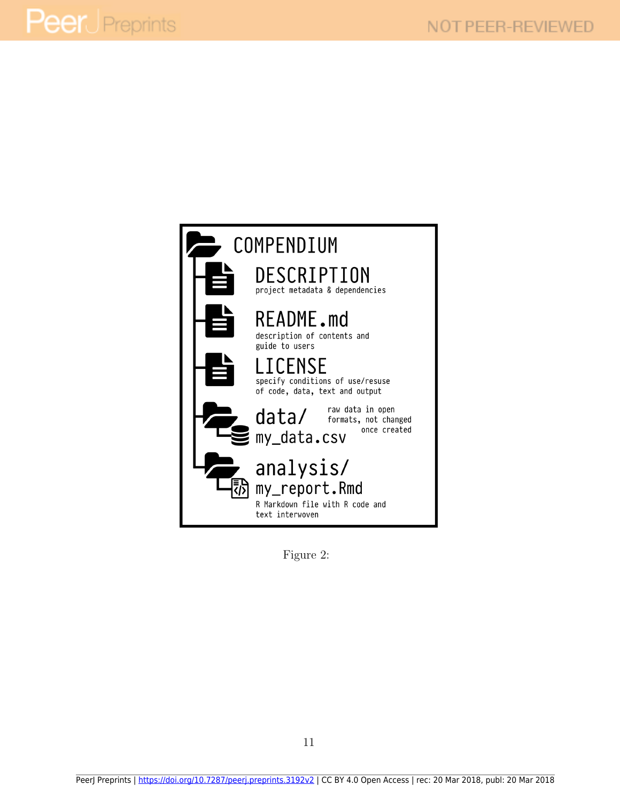

Figure 2: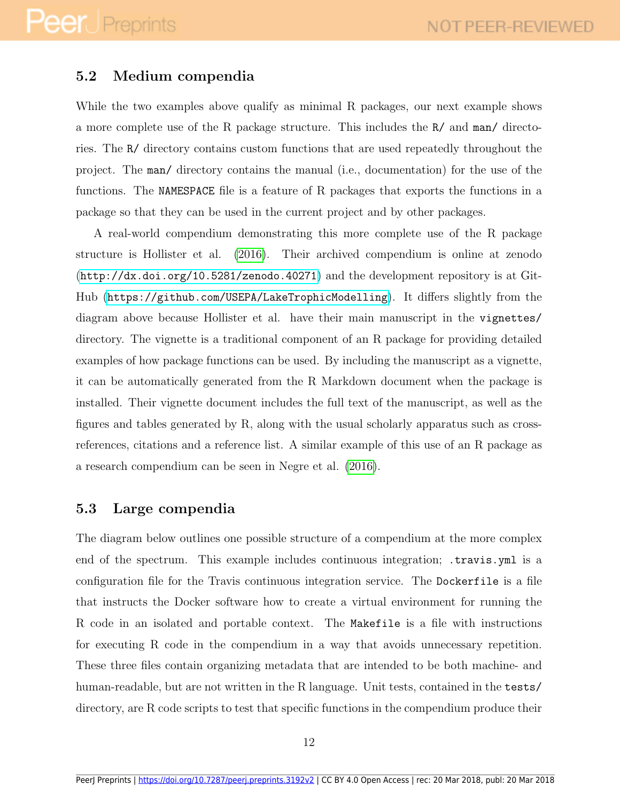### 5.2 Medium compendia

While the two examples above qualify as minimal R packages, our next example shows a more complete use of the R package structure. This includes the R/ and man/ directories. The R/ directory contains custom functions that are used repeatedly throughout the project. The man/ directory contains the manual (i.e., documentation) for the use of the functions. The NAMESPACE file is a feature of R packages that exports the functions in a package so that they can be used in the current project and by other packages.

A real-world compendium demonstrating this more complete use of the R package structure is Hollister et al. [\(2016\)](#page-24-9). Their archived compendium is online at zenodo (<http://dx.doi.org/10.5281/zenodo.40271>) and the development repository is at Git-Hub (<https://github.com/USEPA/LakeTrophicModelling>). It differs slightly from the diagram above because Hollister et al. have their main manuscript in the vignettes/ directory. The vignette is a traditional component of an R package for providing detailed examples of how package functions can be used. By including the manuscript as a vignette, it can be automatically generated from the R Markdown document when the package is installed. Their vignette document includes the full text of the manuscript, as well as the figures and tables generated by R, along with the usual scholarly apparatus such as crossreferences, citations and a reference list. A similar example of this use of an R package as a research compendium can be seen in Negre et al. [\(2016\)](#page-27-7).

### 5.3 Large compendia

The diagram below outlines one possible structure of a compendium at the more complex end of the spectrum. This example includes continuous integration; .travis.yml is a configuration file for the Travis continuous integration service. The Dockerfile is a file that instructs the Docker software how to create a virtual environment for running the R code in an isolated and portable context. The Makefile is a file with instructions for executing R code in the compendium in a way that avoids unnecessary repetition. These three files contain organizing metadata that are intended to be both machine- and human-readable, but are not written in the R language. Unit tests, contained in the tests/ directory, are R code scripts to test that specific functions in the compendium produce their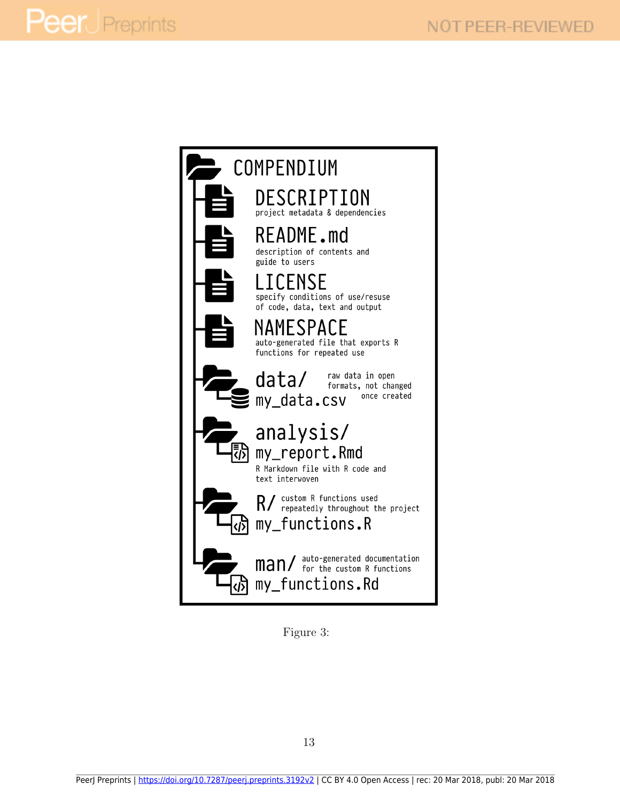

Figure 3: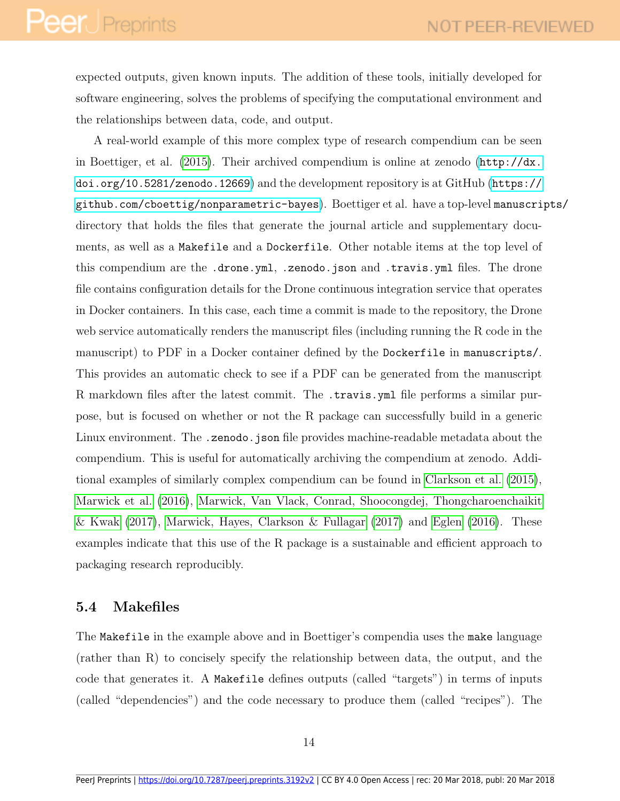expected outputs, given known inputs. The addition of these tools, initially developed for software engineering, solves the problems of specifying the computational environment and the relationships between data, code, and output.

A real-world example of this more complex type of research compendium can be seen in Boettiger, et al. [\(2015\)](#page-22-6). Their archived compendium is online at zenodo  $(\text{http://dx.}$  $(\text{http://dx.}$  $(\text{http://dx.}$ [doi.org/10.5281/zenodo.12669](http://dx.doi.org/10.5281/zenodo.12669)) and the development repository is at GitHub ([https://](https://github.com/cboettig/nonparametric-bayes) [github.com/cboettig/nonparametric-bayes](https://github.com/cboettig/nonparametric-bayes)). Boettiger et al. have a top-level manuscripts/ directory that holds the files that generate the journal article and supplementary documents, as well as a Makefile and a Dockerfile. Other notable items at the top level of this compendium are the .drone.yml, .zenodo.json and .travis.yml files. The drone file contains configuration details for the Drone continuous integration service that operates in Docker containers. In this case, each time a commit is made to the repository, the Drone web service automatically renders the manuscript files (including running the R code in the manuscript) to PDF in a Docker container defined by the Dockerfile in manuscripts/. This provides an automatic check to see if a PDF can be generated from the manuscript R markdown files after the latest commit. The .travis.yml file performs a similar purpose, but is focused on whether or not the R package can successfully build in a generic Linux environment. The .zenodo.json file provides machine-readable metadata about the compendium. This is useful for automatically archiving the compendium at zenodo. Addi-tional examples of similarly complex compendium can be found in [Clarkson et al.](#page-23-8) [\(2015\)](#page-23-8), [Marwick et al.](#page-26-3) [\(2016\)](#page-26-3), [Marwick, Van Vlack, Conrad, Shoocongdej, Thongcharoenchaikit](#page-26-4) [& Kwak](#page-26-4) [\(2017\)](#page-26-4), [Marwick, Hayes, Clarkson & Fullagar](#page-26-5) [\(2017\)](#page-26-5) and [Eglen](#page-23-9) [\(2016\)](#page-23-9). These examples indicate that this use of the R package is a sustainable and efficient approach to packaging research reproducibly.

### 5.4 Makefiles

The Makefile in the example above and in Boettiger's compendia uses the make language (rather than R) to concisely specify the relationship between data, the output, and the code that generates it. A Makefile defines outputs (called "targets") in terms of inputs (called "dependencies") and the code necessary to produce them (called "recipes"). The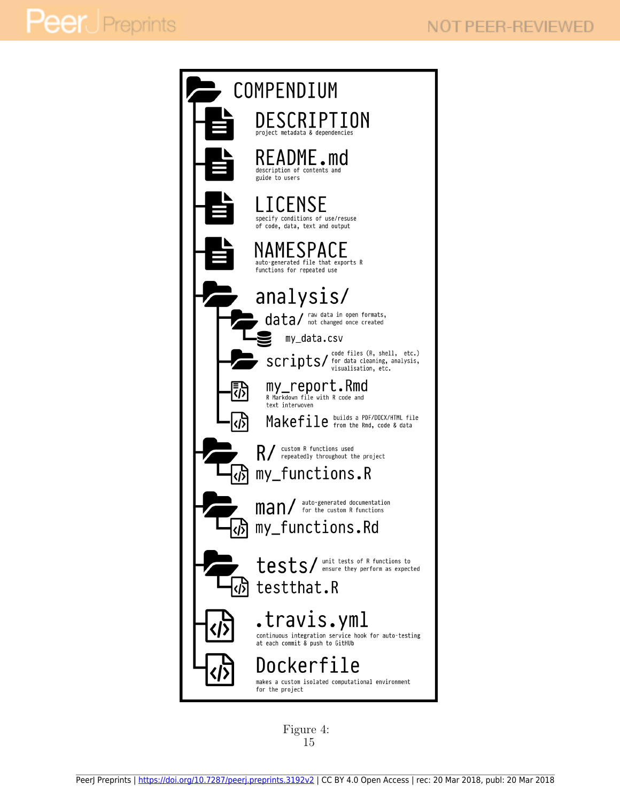

Figure 4: 15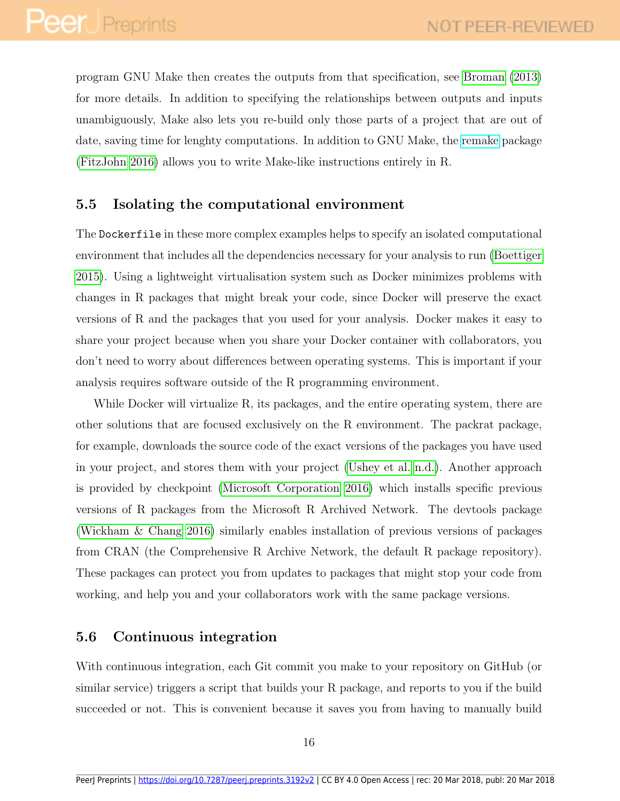program GNU Make then creates the outputs from that specification, see [Broman](#page-22-7) [\(2013\)](#page-22-7) for more details. In addition to specifying the relationships between outputs and inputs unambiguously, Make also lets you re-build only those parts of a project that are out of date, saving time for lenghty computations. In addition to GNU Make, the [remake](https://github.com/richfitz/remake) package [\(FitzJohn 2016\)](#page-24-10) allows you to write Make-like instructions entirely in R.

### 5.5 Isolating the computational environment

The Dockerfile in these more complex examples helps to specify an isolated computational environment that includes all the dependencies necessary for your analysis to run [\(Boettiger](#page-22-8) [2015\)](#page-22-8). Using a lightweight virtualisation system such as Docker minimizes problems with changes in R packages that might break your code, since Docker will preserve the exact versions of R and the packages that you used for your analysis. Docker makes it easy to share your project because when you share your Docker container with collaborators, you don't need to worry about differences between operating systems. This is important if your analysis requires software outside of the R programming environment.

While Docker will virtualize R, its packages, and the entire operating system, there are other solutions that are focused exclusively on the R environment. The packrat package, for example, downloads the source code of the exact versions of the packages you have used in your project, and stores them with your project [\(Ushey et al. n.d.\)](#page-29-8). Another approach is provided by checkpoint [\(Microsoft Corporation 2016\)](#page-26-6) which installs specific previous versions of R packages from the Microsoft R Archived Network. The devtools package [\(Wickham & Chang 2016\)](#page-29-4) similarly enables installation of previous versions of packages from CRAN (the Comprehensive R Archive Network, the default R package repository). These packages can protect you from updates to packages that might stop your code from working, and help you and your collaborators work with the same package versions.

### 5.6 Continuous integration

With continuous integration, each Git commit you make to your repository on GitHub (or similar service) triggers a script that builds your R package, and reports to you if the build succeeded or not. This is convenient because it saves you from having to manually build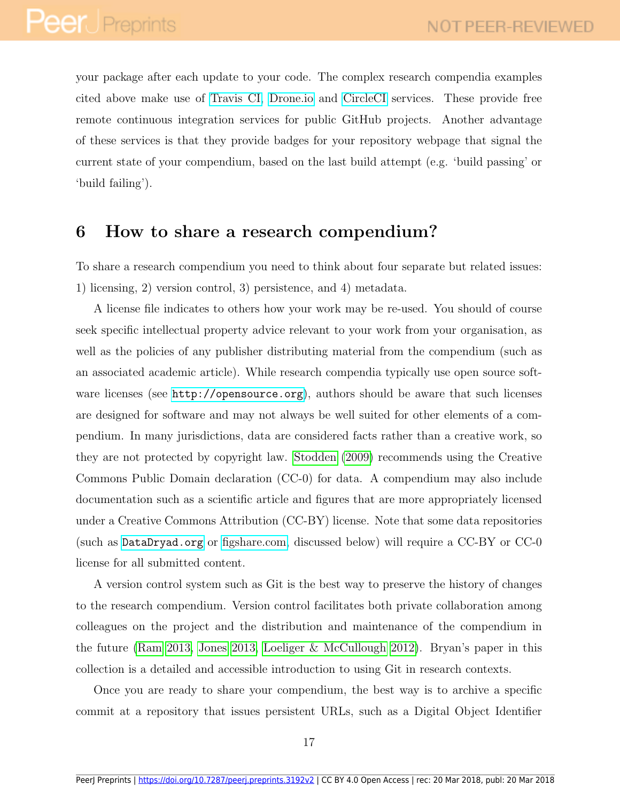your package after each update to your code. The complex research compendia examples cited above make use of [Travis CI,](https://travis-ci.org/) [Drone.io](https://drone.io/) and [CircleCI](https://circleci.com/) services. These provide free remote continuous integration services for public GitHub projects. Another advantage of these services is that they provide badges for your repository webpage that signal the current state of your compendium, based on the last build attempt (e.g. 'build passing' or 'build failing').

### 6 How to share a research compendium?

To share a research compendium you need to think about four separate but related issues: 1) licensing, 2) version control, 3) persistence, and 4) metadata.

A license file indicates to others how your work may be re-used. You should of course seek specific intellectual property advice relevant to your work from your organisation, as well as the policies of any publisher distributing material from the compendium (such as an associated academic article). While research compendia typically use open source software licenses (see <http://opensource.org>), authors should be aware that such licenses are designed for software and may not always be well suited for other elements of a compendium. In many jurisdictions, data are considered facts rather than a creative work, so they are not protected by copyright law. [Stodden](#page-28-7) [\(2009\)](#page-28-7) recommends using the Creative Commons Public Domain declaration (CC-0) for data. A compendium may also include documentation such as a scientific article and figures that are more appropriately licensed under a Creative Commons Attribution (CC-BY) license. Note that some data repositories (such as <DataDryad.org> or [figshare.com,](http://figshare.com/) discussed below) will require a CC-BY or CC-0 license for all submitted content.

A version control system such as Git is the best way to preserve the history of changes to the research compendium. Version control facilitates both private collaboration among colleagues on the project and the distribution and maintenance of the compendium in the future [\(Ram 2013,](#page-28-8) [Jones 2013,](#page-25-7) [Loeliger & McCullough 2012\)](#page-25-8). Bryan's paper in this collection is a detailed and accessible introduction to using Git in research contexts.

Once you are ready to share your compendium, the best way is to archive a specific commit at a repository that issues persistent URLs, such as a Digital Object Identifier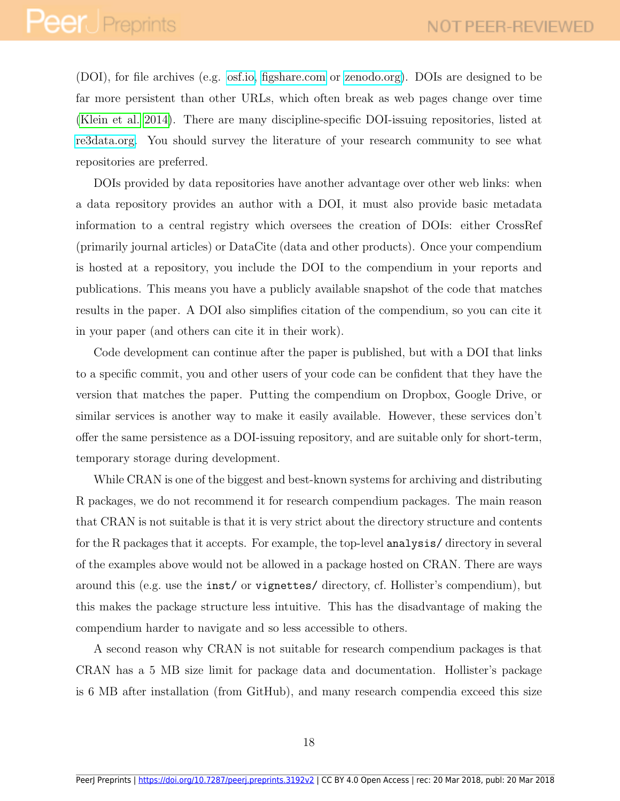(DOI), for file archives (e.g. [osf.io,](http://osf.io/) [figshare.com](http://figshare.com/) or [zenodo.org\)](https://zenodo.org/). DOIs are designed to be far more persistent than other URLs, which often break as web pages change over time [\(Klein et al. 2014\)](#page-25-9). There are many discipline-specific DOI-issuing repositories, listed at [re3data.org.](http://www.re3data.org/) You should survey the literature of your research community to see what repositories are preferred.

DOIs provided by data repositories have another advantage over other web links: when a data repository provides an author with a DOI, it must also provide basic metadata information to a central registry which oversees the creation of DOIs: either CrossRef (primarily journal articles) or DataCite (data and other products). Once your compendium is hosted at a repository, you include the DOI to the compendium in your reports and publications. This means you have a publicly available snapshot of the code that matches results in the paper. A DOI also simplifies citation of the compendium, so you can cite it in your paper (and others can cite it in their work).

Code development can continue after the paper is published, but with a DOI that links to a specific commit, you and other users of your code can be confident that they have the version that matches the paper. Putting the compendium on Dropbox, Google Drive, or similar services is another way to make it easily available. However, these services don't offer the same persistence as a DOI-issuing repository, and are suitable only for short-term, temporary storage during development.

While CRAN is one of the biggest and best-known systems for archiving and distributing R packages, we do not recommend it for research compendium packages. The main reason that CRAN is not suitable is that it is very strict about the directory structure and contents for the R packages that it accepts. For example, the top-level analysis/ directory in several of the examples above would not be allowed in a package hosted on CRAN. There are ways around this (e.g. use the inst/ or vignettes/ directory, cf. Hollister's compendium), but this makes the package structure less intuitive. This has the disadvantage of making the compendium harder to navigate and so less accessible to others.

A second reason why CRAN is not suitable for research compendium packages is that CRAN has a 5 MB size limit for package data and documentation. Hollister's package is 6 MB after installation (from GitHub), and many research compendia exceed this size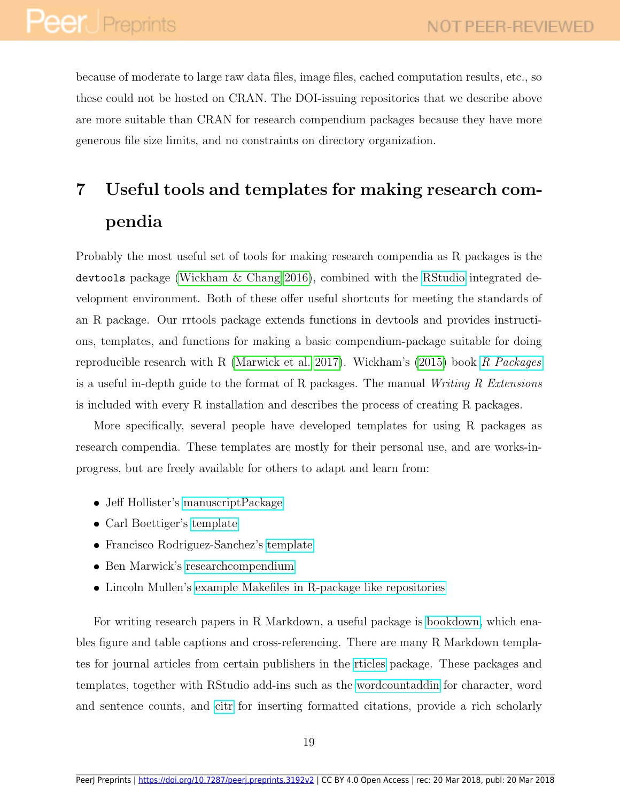because of moderate to large raw data files, image files, cached computation results, etc., so these could not be hosted on CRAN. The DOI-issuing repositories that we describe above are more suitable than CRAN for research compendium packages because they have more generous file size limits, and no constraints on directory organization.

## 7 Useful tools and templates for making research compendia

Probably the most useful set of tools for making research compendia as R packages is the devtools package [\(Wickham & Chang 2016\)](#page-29-4), combined with the [RStudio](http://www.rstudio.com/) integrated development environment. Both of these offer useful shortcuts for meeting the standards of an R package. Our rrtools package extends functions in devtools and provides instructions, templates, and functions for making a basic compendium-package suitable for doing reproducible research with R [\(Marwick et al. 2017\)](#page-26-2). Wickham's [\(2015\)](#page-29-9) book [R Packages](http://r-pkgs.had.co.nz/) is a useful in-depth guide to the format of R packages. The manual Writing R Extensions is included with every R installation and describes the process of creating R packages.

More specifically, several people have developed templates for using R packages as research compendia. These templates are mostly for their personal use, and are works-inprogress, but are freely available for others to adapt and learn from:

- Jeff Hollister's [manuscriptPackage](https://github.com/jhollist/manuscriptPackage)
- Carl Boettiger's [template](https://github.com/cboettig/template)
- Francisco Rodriguez-Sanchez's [template](https://github.com/Pakillo/template)
- Ben Marwick's [researchcompendium](https://github.com/benmarwick/researchcompendium)
- Lincoln Mullen's [example Makefiles in R-package like repositories](http://lincolnmullen.com/blog/makefiles-for-ocr-and-converting-shapefiles/)

For writing research papers in R Markdown, a useful package is [bookdown,](https://github.com/rstudio/bookdown) which enables figure and table captions and cross-referencing. There are many R Markdown templates for journal articles from certain publishers in the [rticles](https://github.com/rstudio/rticles) package. These packages and templates, together with RStudio add-ins such as the [wordcountaddin](https://github.com/benmarwick/wordcountaddin) for character, word and sentence counts, and [citr](https://github.com/crsh/citr) for inserting formatted citations, provide a rich scholarly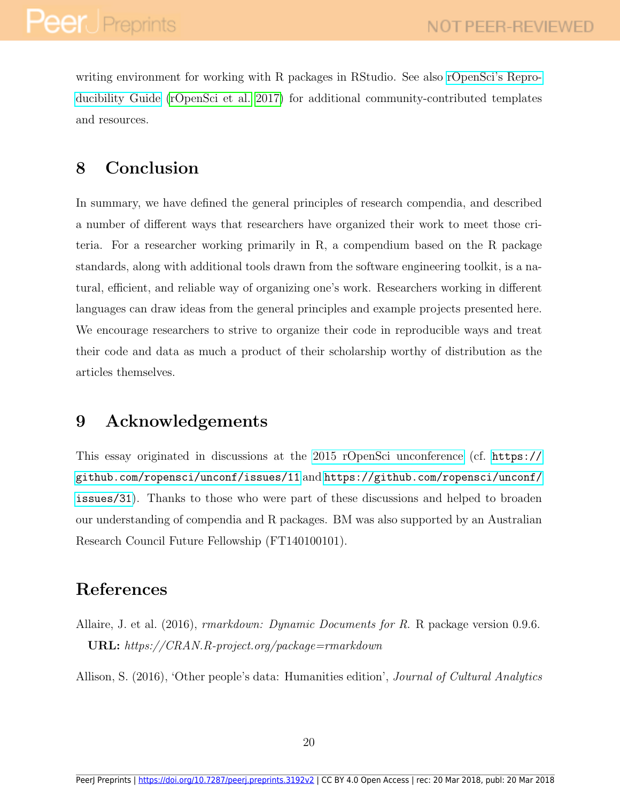writing environment for working with R packages in RStudio. See also [rOpenSci's Repro](http://ropensci.github.io/reproducibility-guide)[ducibility Guide](http://ropensci.github.io/reproducibility-guide) [\(rOpenSci et al. 2017\)](#page-28-9) for additional community-contributed templates and resources.

## 8 Conclusion

In summary, we have defined the general principles of research compendia, and described a number of different ways that researchers have organized their work to meet those criteria. For a researcher working primarily in R, a compendium based on the R package standards, along with additional tools drawn from the software engineering toolkit, is a natural, efficient, and reliable way of organizing one's work. Researchers working in different languages can draw ideas from the general principles and example projects presented here. We encourage researchers to strive to organize their code in reproducible ways and treat their code and data as much a product of their scholarship worthy of distribution as the articles themselves.

## 9 Acknowledgements

This essay originated in discussions at the [2015 rOpenSci unconference](http://unconf.ropensci.org/) (cf. [https://](https://github.com/ropensci/unconf/issues/11) [github.com/ropensci/unconf/issues/11](https://github.com/ropensci/unconf/issues/11) and [https://github.com/ropensci/unconf/](https://github.com/ropensci/unconf/issues/31) [issues/31](https://github.com/ropensci/unconf/issues/31)). Thanks to those who were part of these discussions and helped to broaden our understanding of compendia and R packages. BM was also supported by an Australian Research Council Future Fellowship (FT140100101).

## References

<span id="page-21-1"></span>Allaire, J. et al. (2016), rmarkdown: Dynamic Documents for R. R package version 0.9.6. URL: https://CRAN.R-project.org/package=rmarkdown

<span id="page-21-0"></span>Allison, S. (2016), 'Other people's data: Humanities edition', *Journal of Cultural Analytics*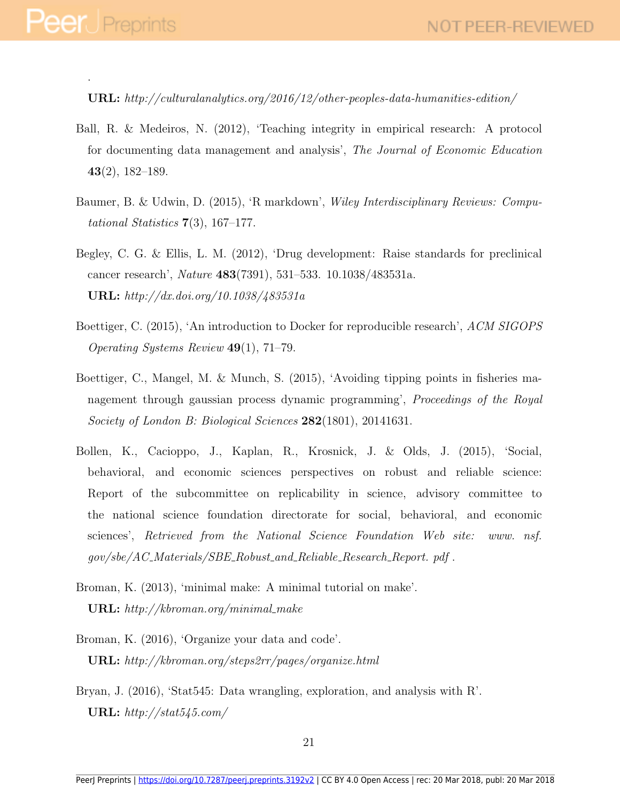.

URL: http://culturalanalytics.org/2016/12/other-peoples-data-humanities-edition/

- <span id="page-22-3"></span>Ball, R. & Medeiros, N. (2012), 'Teaching integrity in empirical research: A protocol for documenting data management and analysis', The Journal of Economic Education 43(2), 182–189.
- <span id="page-22-2"></span>Baumer, B. & Udwin, D. (2015), 'R markdown', Wiley Interdisciplinary Reviews: Computational Statistics  $7(3)$ , 167–177.
- <span id="page-22-0"></span>Begley, C. G. & Ellis, L. M. (2012), 'Drug development: Raise standards for preclinical cancer research', Nature 483(7391), 531–533. 10.1038/483531a. URL: http://dx.doi.org/10.1038/483531a
- <span id="page-22-8"></span>Boettiger, C. (2015), 'An introduction to Docker for reproducible research', ACM SIGOPS Operating Systems Review 49(1), 71–79.
- <span id="page-22-6"></span>Boettiger, C., Mangel, M. & Munch, S. (2015), 'Avoiding tipping points in fisheries management through gaussian process dynamic programming', Proceedings of the Royal Society of London B: Biological Sciences 282(1801), 20141631.
- <span id="page-22-1"></span>Bollen, K., Cacioppo, J., Kaplan, R., Krosnick, J. & Olds, J. (2015), 'Social, behavioral, and economic sciences perspectives on robust and reliable science: Report of the subcommittee on replicability in science, advisory committee to the national science foundation directorate for social, behavioral, and economic sciences', Retrieved from the National Science Foundation Web site: www. nsf. gov/sbe/AC Materials/SBE Robust and Reliable Research Report. pdf .
- <span id="page-22-7"></span>Broman, K. (2013), 'minimal make: A minimal tutorial on make'. URL:  $http://kbroman.org/minimal.make$
- <span id="page-22-5"></span>Broman, K. (2016), 'Organize your data and code'. URL: http://kbroman.org/steps2rr/pages/organize.html
- <span id="page-22-4"></span>Bryan, J. (2016), 'Stat545: Data wrangling, exploration, and analysis with R'. URL:  $http://stat545.com/$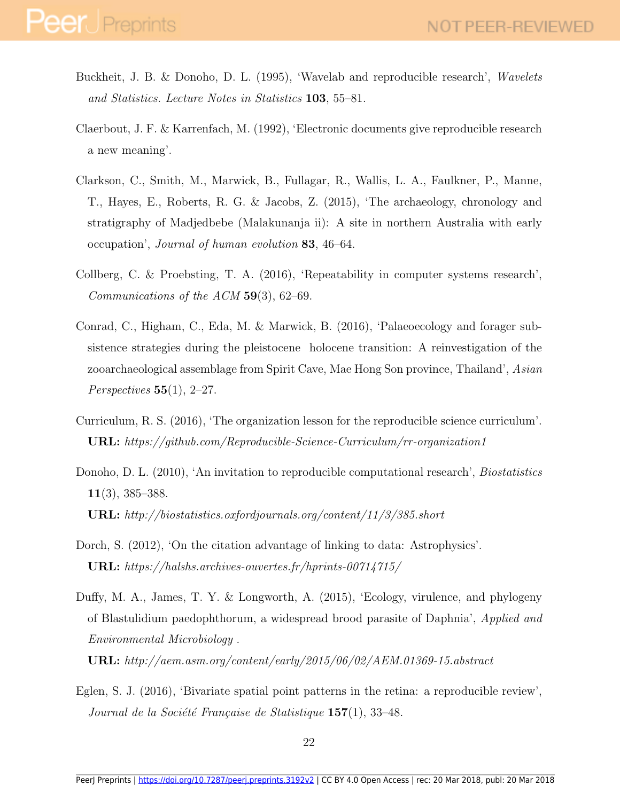- <span id="page-23-3"></span>Buckheit, J. B. & Donoho, D. L. (1995), 'Wavelab and reproducible research', Wavelets and Statistics. Lecture Notes in Statistics 103, 55–81.
- <span id="page-23-0"></span>Claerbout, J. F. & Karrenfach, M. (1992), 'Electronic documents give reproducible research a new meaning'.
- <span id="page-23-8"></span>Clarkson, C., Smith, M., Marwick, B., Fullagar, R., Wallis, L. A., Faulkner, P., Manne, T., Hayes, E., Roberts, R. G. & Jacobs, Z. (2015), 'The archaeology, chronology and stratigraphy of Madjedbebe (Malakunanja ii): A site in northern Australia with early occupation', Journal of human evolution 83, 46–64.
- <span id="page-23-1"></span>Collberg, C. & Proebsting, T. A. (2016), 'Repeatability in computer systems research', Communications of the  $ACM$  59(3), 62–69.
- <span id="page-23-7"></span>Conrad, C., Higham, C., Eda, M. & Marwick, B. (2016), 'Palaeoecology and forager subsistence strategies during the pleistocene holocene transition: A reinvestigation of the zooarchaeological assemblage from Spirit Cave, Mae Hong Son province, Thailand', Asian Perspectives  $55(1)$ , 2–27.
- <span id="page-23-4"></span>Curriculum, R. S. (2016), 'The organization lesson for the reproducible science curriculum'. URL: https://github.com/Reproducible-Science-Curriculum/rr-organization1
- <span id="page-23-2"></span>Donoho, D. L. (2010), 'An invitation to reproducible computational research', *Biostatistics* 11(3), 385–388. URL: http://biostatistics.oxfordjournals.org/content/11/3/385.short
- <span id="page-23-5"></span>Dorch, S. (2012), 'On the citation advantage of linking to data: Astrophysics'. URL: https://halshs.archives-ouvertes.fr/hprints-00714715/
- <span id="page-23-6"></span>Duffy, M. A., James, T. Y. & Longworth, A. (2015), 'Ecology, virulence, and phylogeny of Blastulidium paedophthorum, a widespread brood parasite of Daphnia', Applied and Environmental Microbiology .

URL: http://aem.asm.org/content/early/2015/06/02/AEM.01369-15.abstract

<span id="page-23-9"></span>Eglen, S. J. (2016), 'Bivariate spatial point patterns in the retina: a reproducible review', Journal de la Société Française de Statistique  $157(1)$ , 33-48.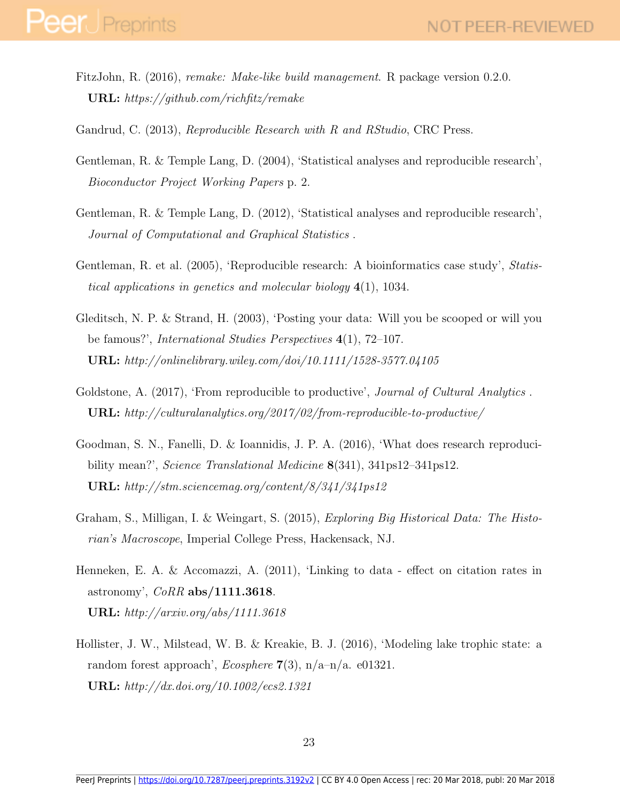- <span id="page-24-10"></span>FitzJohn, R. (2016), remake: Make-like build management. R package version 0.2.0. URL: https://github.com/richfitz/remake
- <span id="page-24-6"></span>Gandrud, C. (2013), Reproducible Research with R and RStudio, CRC Press.
- <span id="page-24-4"></span>Gentleman, R. & Temple Lang, D. (2004), 'Statistical analyses and reproducible research', Bioconductor Project Working Papers p. 2.
- <span id="page-24-5"></span>Gentleman, R. & Temple Lang, D. (2012), 'Statistical analyses and reproducible research', Journal of Computational and Graphical Statistics .
- <span id="page-24-3"></span>Gentleman, R. et al. (2005), 'Reproducible research: A bioinformatics case study', Statistical applications in genetics and molecular biology 4(1), 1034.
- <span id="page-24-8"></span>Gleditsch, N. P. & Strand, H. (2003), 'Posting your data: Will you be scooped or will you be famous?', *International Studies Perspectives* 4(1), 72–107. URL: http://onlinelibrary.wiley.com/doi/10.1111/1528-3577.04105
- <span id="page-24-2"></span>Goldstone, A. (2017), 'From reproducible to productive', *Journal of Cultural Analytics*. URL: http://culturalanalytics.org/2017/02/from-reproducible-to-productive/
- <span id="page-24-0"></span>Goodman, S. N., Fanelli, D. & Ioannidis, J. P. A. (2016), 'What does research reproducibility mean?', Science Translational Medicine 8(341), 341ps12–341ps12. URL: http://stm.sciencemag.org/content/8/341/341ps12
- <span id="page-24-1"></span>Graham, S., Milligan, I. & Weingart, S. (2015), Exploring Big Historical Data: The Historian's Macroscope, Imperial College Press, Hackensack, NJ.
- <span id="page-24-7"></span>Henneken, E. A. & Accomazzi, A. (2011), 'Linking to data - effect on citation rates in astronomy',  $CoRR$  abs/1111.3618. URL: http://arxiv.org/abs/1111.3618
- <span id="page-24-9"></span>Hollister, J. W., Milstead, W. B. & Kreakie, B. J. (2016), 'Modeling lake trophic state: a random forest approach', *Ecosphere* 7(3),  $n/a-n/a$ . e01321. URL: http://dx.doi.org/10.1002/ecs2.1321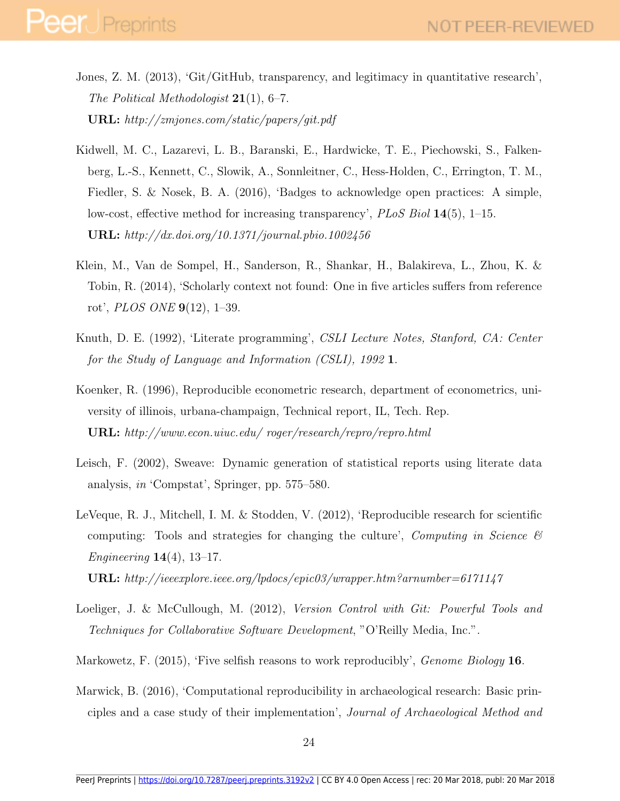- <span id="page-25-7"></span>Jones, Z. M. (2013), 'Git/GitHub, transparency, and legitimacy in quantitative research', The Political Methodologist  $21(1)$ , 6–7. URL: http://zmjones.com/static/papers/git.pdf
- <span id="page-25-2"></span>Kidwell, M. C., Lazarevi, L. B., Baranski, E., Hardwicke, T. E., Piechowski, S., Falkenberg, L.-S., Kennett, C., Slowik, A., Sonnleitner, C., Hess-Holden, C., Errington, T. M., Fiedler, S. & Nosek, B. A. (2016), 'Badges to acknowledge open practices: A simple, low-cost, effective method for increasing transparency',  $PLoS Biol 14(5)$ , 1–15. **URL:** http://dx.doi.org/10.1371/journal.pbio.1002456
- <span id="page-25-9"></span>Klein, M., Van de Sompel, H., Sanderson, R., Shankar, H., Balakireva, L., Zhou, K. & Tobin, R. (2014), 'Scholarly context not found: One in five articles suffers from reference rot', PLOS ONE 9(12), 1–39.
- <span id="page-25-5"></span>Knuth, D. E. (1992), 'Literate programming', CSLI Lecture Notes, Stanford, CA: Center for the Study of Language and Information (CSLI), 1992 1.
- <span id="page-25-3"></span>Koenker, R. (1996), Reproducible econometric research, department of econometrics, university of illinois, urbana-champaign, Technical report, IL, Tech. Rep. URL: http://www.econ.uiuc.edu/ roger/research/repro/repro.html
- <span id="page-25-4"></span>Leisch, F. (2002), Sweave: Dynamic generation of statistical reports using literate data analysis, in 'Compstat', Springer, pp. 575–580.
- <span id="page-25-1"></span>LeVeque, R. J., Mitchell, I. M. & Stodden, V. (2012), 'Reproducible research for scientific computing: Tools and strategies for changing the culture', Computing in Science  $\mathcal{B}$ *Engineering*  $14(4)$ ,  $13-17$ .
	- URL: http://ieeexplore.ieee.org/lpdocs/epic03/wrapper.htm?arnumber=6171147
- <span id="page-25-8"></span>Loeliger, J. & McCullough, M. (2012), Version Control with Git: Powerful Tools and Techniques for Collaborative Software Development, "O'Reilly Media, Inc.".
- <span id="page-25-6"></span>Markowetz, F. (2015), 'Five selfish reasons to work reproducibly', *Genome Biology* 16.
- <span id="page-25-0"></span>Marwick, B. (2016), 'Computational reproducibility in archaeological research: Basic principles and a case study of their implementation', Journal of Archaeological Method and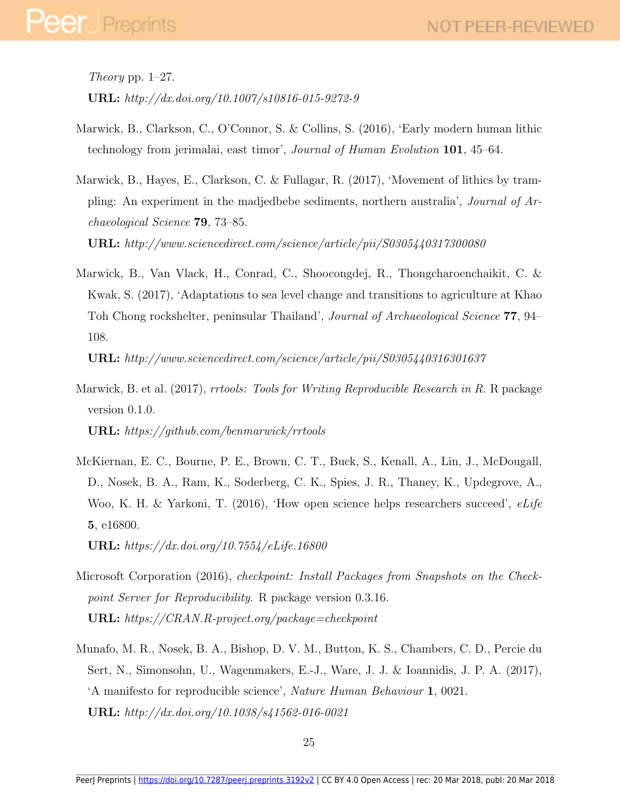# **Peer** Preprints

Theory pp.  $1-27$ . URL: http://dx.doi.org/10.1007/s10816-015-9272-9

- <span id="page-26-3"></span>Marwick, B., Clarkson, C., O'Connor, S. & Collins, S. (2016), 'Early modern human lithic technology from jerimalai, east timor', Journal of Human Evolution 101, 45–64.
- <span id="page-26-5"></span>Marwick, B., Hayes, E., Clarkson, C. & Fullagar, R. (2017), 'Movement of lithics by trampling: An experiment in the madjedbebe sediments, northern australia', Journal of Archaeological Science 79, 73–85.

URL: http://www.sciencedirect.com/science/article/pii/S0305440317300080

<span id="page-26-4"></span>Marwick, B., Van Vlack, H., Conrad, C., Shoocongdej, R., Thongcharoenchaikit, C. & Kwak, S. (2017), 'Adaptations to sea level change and transitions to agriculture at Khao Toh Chong rockshelter, peninsular Thailand', Journal of Archaeological Science 77, 94– 108.

URL: http://www.sciencedirect.com/science/article/pii/S0305440316301637

- <span id="page-26-2"></span>Marwick, B. et al. (2017), *rrtools: Tools for Writing Reproducible Research in R. R* package version 0.1.0. URL: https://github.com/benmarwick/rrtools
- <span id="page-26-1"></span>McKiernan, E. C., Bourne, P. E., Brown, C. T., Buck, S., Kenall, A., Lin, J., McDougall, D., Nosek, B. A., Ram, K., Soderberg, C. K., Spies, J. R., Thaney, K., Updegrove, A., Woo, K. H. & Yarkoni, T. (2016), 'How open science helps researchers succeed', eLife 5, e16800.

URL: https://dx.doi.org/10.7554/eLife.16800

- <span id="page-26-6"></span>Microsoft Corporation (2016), checkpoint: Install Packages from Snapshots on the Checkpoint Server for Reproducibility. R package version 0.3.16. URL: https://CRAN.R-project.org/package=checkpoint
- <span id="page-26-0"></span>Munafo, M. R., Nosek, B. A., Bishop, D. V. M., Button, K. S., Chambers, C. D., Percie du Sert, N., Simonsohn, U., Wagenmakers, E.-J., Ware, J. J. & Ioannidis, J. P. A. (2017), 'A manifesto for reproducible science', Nature Human Behaviour 1, 0021. URL: http://dx.doi.org/10.1038/s41562-016-0021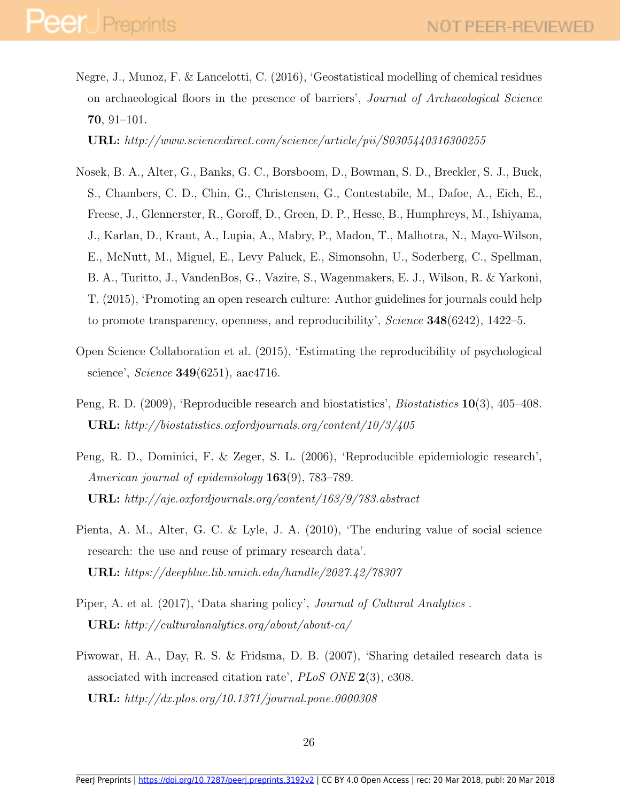<span id="page-27-7"></span>Negre, J., Munoz, F. & Lancelotti, C. (2016), 'Geostatistical modelling of chemical residues on archaeological floors in the presence of barriers', Journal of Archaeological Science 70, 91–101.

URL: http://www.sciencedirect.com/science/article/pii/S0305440316300255

- <span id="page-27-2"></span>Nosek, B. A., Alter, G., Banks, G. C., Borsboom, D., Bowman, S. D., Breckler, S. J., Buck, S., Chambers, C. D., Chin, G., Christensen, G., Contestabile, M., Dafoe, A., Eich, E., Freese, J., Glennerster, R., Goroff, D., Green, D. P., Hesse, B., Humphreys, M., Ishiyama, J., Karlan, D., Kraut, A., Lupia, A., Mabry, P., Madon, T., Malhotra, N., Mayo-Wilson, E., McNutt, M., Miguel, E., Levy Paluck, E., Simonsohn, U., Soderberg, C., Spellman, B. A., Turitto, J., VandenBos, G., Vazire, S., Wagenmakers, E. J., Wilson, R. & Yarkoni, T. (2015), 'Promoting an open research culture: Author guidelines for journals could help to promote transparency, openness, and reproducibility', Science 348(6242), 1422–5.
- <span id="page-27-0"></span>Open Science Collaboration et al. (2015), 'Estimating the reproducibility of psychological science', *Science* **349**(6251), aac4716.
- <span id="page-27-1"></span>Peng, R. D. (2009), 'Reproducible research and biostatistics', *Biostatistics* 10(3), 405–408. URL: http://biostatistics.oxfordjournals.org/content/10/3/405
- <span id="page-27-4"></span>Peng, R. D., Dominici, F. & Zeger, S. L. (2006), 'Reproducible epidemiologic research', American journal of epidemiology **163**(9), 783–789. URL: http://aje.oxfordjournals.org/content/163/9/783.abstract
- <span id="page-27-6"></span>Pienta, A. M., Alter, G. C. & Lyle, J. A. (2010), 'The enduring value of social science research: the use and reuse of primary research data'. URL: https://deepblue.lib.umich.edu/handle/2027.42/78307
- <span id="page-27-3"></span>Piper, A. et al. (2017), 'Data sharing policy', Journal of Cultural Analytics . URL: http://culturalanalytics.org/about/about-ca/
- <span id="page-27-5"></span>Piwowar, H. A., Day, R. S. & Fridsma, D. B. (2007), 'Sharing detailed research data is associated with increased citation rate', PLoS ONE 2(3), e308. URL: http://dx.plos.org/10.1371/journal.pone.0000308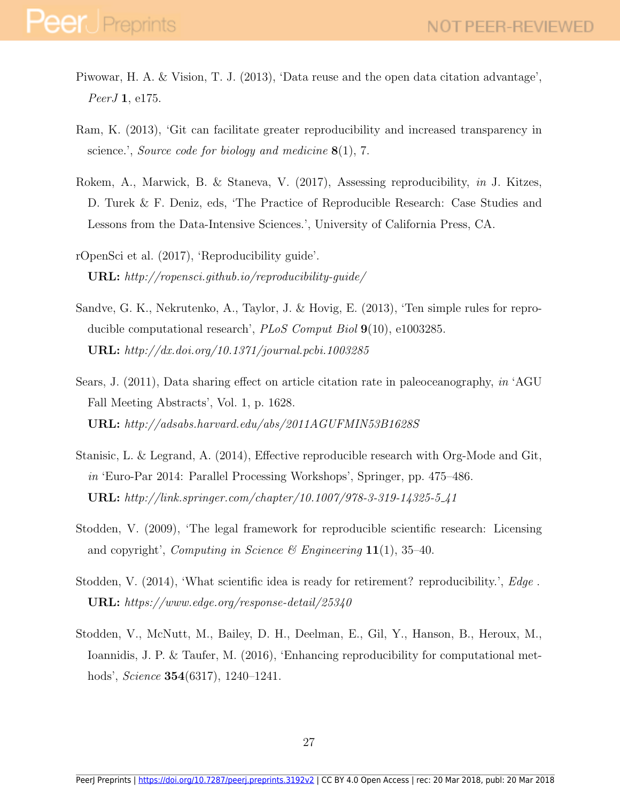- <span id="page-28-5"></span>Piwowar, H. A. & Vision, T. J. (2013), 'Data reuse and the open data citation advantage', PeerJ 1, e175.
- <span id="page-28-8"></span>Ram, K. (2013), 'Git can facilitate greater reproducibility and increased transparency in science.', Source code for biology and medicine 8(1), 7.
- <span id="page-28-4"></span>Rokem, A., Marwick, B. & Staneva, V. (2017), Assessing reproducibility, in J. Kitzes, D. Turek & F. Deniz, eds, 'The Practice of Reproducible Research: Case Studies and Lessons from the Data-Intensive Sciences.', University of California Press, CA.
- <span id="page-28-9"></span>rOpenSci et al. (2017), 'Reproducibility guide'. URL: http://ropensci.github.io/reproducibility-guide/
- <span id="page-28-3"></span>Sandve, G. K., Nekrutenko, A., Taylor, J. & Hovig, E. (2013), 'Ten simple rules for reproducible computational research', *PLoS Comput Biol*  $9(10)$ , e1003285. URL: http://dx.doi.org/10.1371/journal.pcbi.1003285
- <span id="page-28-6"></span>Sears, J. (2011), Data sharing effect on article citation rate in paleoceanography, in 'AGU Fall Meeting Abstracts', Vol. 1, p. 1628. URL: http://adsabs.harvard.edu/abs/2011AGUFMIN53B1628S
- <span id="page-28-2"></span>Stanisic, L. & Legrand, A. (2014), Effective reproducible research with Org-Mode and Git, in 'Euro-Par 2014: Parallel Processing Workshops', Springer, pp. 475–486. URL: http://link.springer.com/chapter/10.1007/978-3-319-14325-5 41
- <span id="page-28-7"></span>Stodden, V. (2009), 'The legal framework for reproducible scientific research: Licensing and copyright', Computing in Science & Engineering  $11(1)$ , 35-40.
- <span id="page-28-1"></span>Stodden, V. (2014), 'What scientific idea is ready for retirement? reproducibility.', Edge . URL: https://www.edge.org/response-detail/25340
- <span id="page-28-0"></span>Stodden, V., McNutt, M., Bailey, D. H., Deelman, E., Gil, Y., Hanson, B., Heroux, M., Ioannidis, J. P. & Taufer, M. (2016), 'Enhancing reproducibility for computational methods', *Science* **354**(6317), 1240–1241.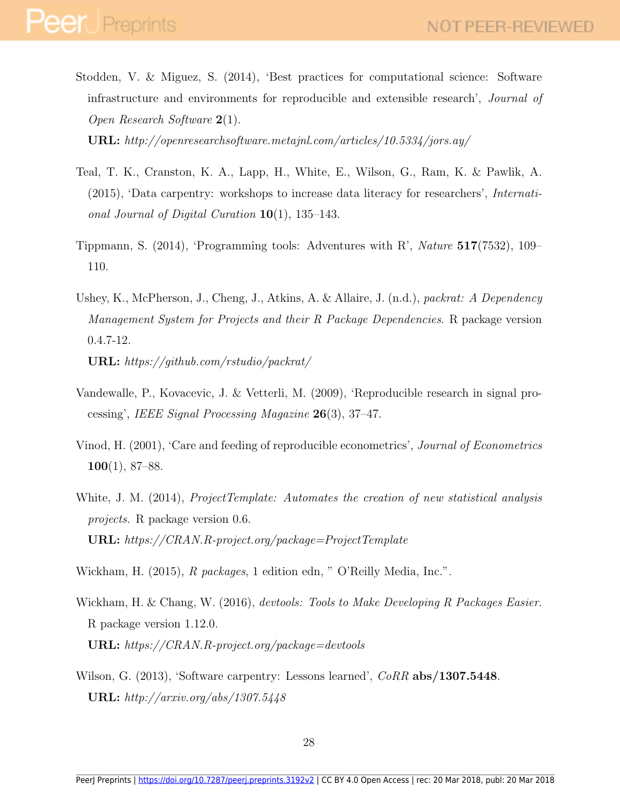<span id="page-29-0"></span>Stodden, V. & Miguez, S. (2014), 'Best practices for computational science: Software infrastructure and environments for reproducible and extensible research', Journal of Open Research Software 2(1).

URL: http://openresearchsoftware.metajnl.com/articles/10.5334/jors.ay/

- <span id="page-29-6"></span>Teal, T. K., Cranston, K. A., Lapp, H., White, E., Wilson, G., Ram, K. & Pawlik, A. (2015), 'Data carpentry: workshops to increase data literacy for researchers', International Journal of Digital Curation  $10(1)$ , 135–143.
- <span id="page-29-3"></span>Tippmann, S. (2014), 'Programming tools: Adventures with R', Nature 517(7532), 109– 110.
- <span id="page-29-8"></span>Ushey, K., McPherson, J., Cheng, J., Atkins, A. & Allaire, J. (n.d.), packrat: A Dependency Management System for Projects and their R Package Dependencies. R package version 0.4.7-12.

URL: https://github.com/rstudio/packrat/

- <span id="page-29-2"></span>Vandewalle, P., Kovacevic, J. & Vetterli, M. (2009), 'Reproducible research in signal processing', IEEE Signal Processing Magazine 26(3), 37–47.
- <span id="page-29-1"></span>Vinod, H. (2001), 'Care and feeding of reproducible econometrics', Journal of Econometrics  $100(1), 87-88.$
- <span id="page-29-5"></span>White, J. M. (2014), *ProjectTemplate: Automates the creation of new statistical analysis* projects. R package version 0.6. URL: https://CRAN.R-project.org/package=ProjectTemplate
- <span id="page-29-9"></span>Wickham, H. (2015), R packages, 1 edition edn, " O'Reilly Media, Inc.".
- <span id="page-29-4"></span>Wickham, H. & Chang, W. (2016), devtools: Tools to Make Developing R Packages Easier. R package version 1.12.0. URL: https://CRAN.R-project.org/package=devtools
- <span id="page-29-7"></span>Wilson, G. (2013), 'Software carpentry: Lessons learned', CoRR abs/1307.5448. URL: http://arxiv.org/abs/1307.5448